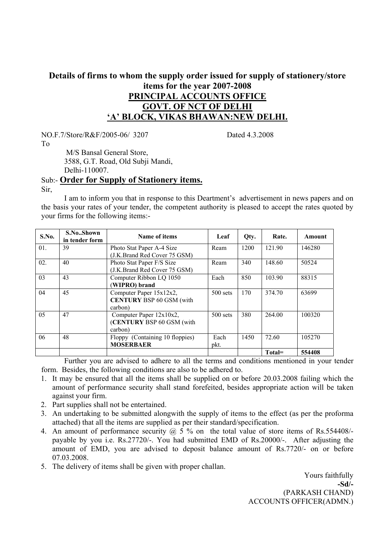# **Details of firms to whom the supply order issued for supply of stationery/store items for the year 2007-2008 PRINCIPAL ACCOUNTS OFFICE GOVT. OF NCT OF DELHI 'A' BLOCK, VIKAS BHAWAN:NEW DELHI.**

NO.F.7/Store/R&F/2005-06/ 3207 Dated 4.3.2008

To

 M/S Bansal General Store, 3588, G.T. Road, Old Subji Mandi, Delhi-110007.

### Sub:- **Order for Supply of Stationery items.**

Sir,

 I am to inform you that in response to this Deartment's advertisement in news papers and on the basis your rates of your tender, the competent authority is pleased to accept the rates quoted by your firms for the following items:-

| S.No. | S.NoShown<br>in tender form | Name of items                   | Leaf       | Qty. | Rate.  | Amount |
|-------|-----------------------------|---------------------------------|------------|------|--------|--------|
| 01.   | 39                          | Photo Stat Paper A-4 Size       | Ream       | 1200 | 121.90 | 146280 |
|       |                             | (J.K.Brand Red Cover 75 GSM)    |            |      |        |        |
| 02.   | 40                          | Photo Stat Paper F/S Size       | Ream       | 340  | 148.60 | 50524  |
|       |                             | (J.K.Brand Red Cover 75 GSM)    |            |      |        |        |
| 03    | 43                          | Computer Ribbon LQ 1050         | Each       | 850  | 103.90 | 88315  |
|       |                             | (WIPRO) brand                   |            |      |        |        |
| 04    | 45                          | Computer Paper 15x12x2,         | 500 sets   | 170  | 374.70 | 63699  |
|       |                             | <b>CENTURY BSP 60 GSM (with</b> |            |      |        |        |
|       |                             | carbon)                         |            |      |        |        |
| 05    | 47                          | Computer Paper 12x10x2,         | $500$ sets | 380  | 264.00 | 100320 |
|       |                             | (CENTURY BSP 60 GSM (with       |            |      |        |        |
|       |                             | carbon)                         |            |      |        |        |
| 06    | 48                          | Floppy (Containing 10 floppies) | Each       | 1450 | 72.60  | 105270 |
|       |                             | <b>MOSERBAER</b>                | pkt.       |      |        |        |
|       |                             |                                 |            |      | Total= | 554408 |

 Further you are advised to adhere to all the terms and conditions mentioned in your tender form. Besides, the following conditions are also to be adhered to.

- 1. It may be ensured that all the items shall be supplied on or before 20.03.2008 failing which the amount of performance security shall stand forefeited, besides appropriate action will be taken against your firm.
- 2. Part supplies shall not be entertained.
- 3. An undertaking to be submitted alongwith the supply of items to the effect (as per the proforma attached) that all the items are supplied as per their standard/specification.
- 4. An amount of performance security  $\omega$ , 5 % on the total value of store items of Rs.554408/payable by you i.e. Rs.27720/-. You had submitted EMD of Rs.20000/-. After adjusting the amount of EMD, you are advised to deposit balance amount of Rs.7720/- on or before 07.03.2008.
- 5. The delivery of items shall be given with proper challan.

Yours faithfully **-Sd/-** (PARKASH CHAND) ACCOUNTS OFFICER(ADMN.)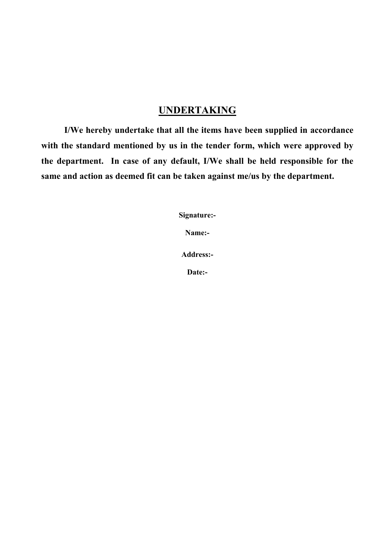# **UNDERTAKING**

**I/We hereby undertake that all the items have been supplied in accordance with the standard mentioned by us in the tender form, which were approved by the department. In case of any default, I/We shall be held responsible for the same and action as deemed fit can be taken against me/us by the department.** 

**Signature:-** 

**Name:-** 

**Address:-** 

**Date:-**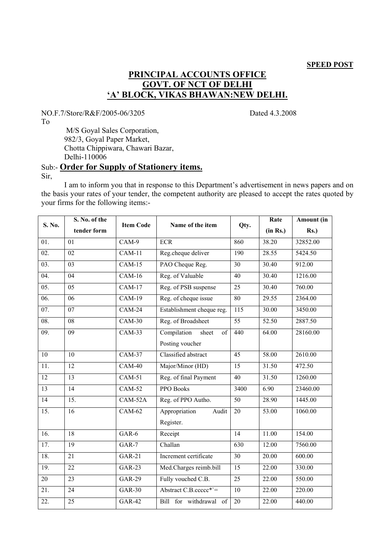### **PRINCIPAL ACCOUNTS OFFICE GOVT. OF NCT OF DELHI 'A' BLOCK, VIKAS BHAWAN:NEW DELHI.**

NO.F.7/Store/R&F/2005-06/3205 Dated 4.3.2008

To

 M/S Goyal Sales Corporation, 982/3, Goyal Paper Market, Chotta Chippiwara, Chawari Bazar, Delhi-110006

### Sub:- **Order for Supply of Stationery items.** Sir,

 I am to inform you that in response to this Department's advertisement in news papers and on the basis your rates of your tender, the competent authority are pleased to accept the rates quoted by your firms for the following items:-

|                   | S. No. of the     |                  |                            |                  | Rate     | Amount (in |
|-------------------|-------------------|------------------|----------------------------|------------------|----------|------------|
| S. No.            | tender form       | <b>Item Code</b> | Name of the item           | Qty.             | (in Rs.) | $Rs.$ )    |
| 01.               | 01                | $CAM-9$          | <b>ECR</b>                 | 860              | 38.20    | 32852.00   |
| $\overline{02}$ . | $\overline{02}$   | $CAM-11$         | Reg.cheque deliver         | 190              | 28.55    | 5424.50    |
| 03.               | $\overline{03}$   | $CAM-15$         | PAO Cheque Reg.            | $\overline{30}$  | 30.40    | 912.00     |
| $\overline{04}$ . | $\overline{04}$   | $CAM-16$         | Reg. of Valuable           | 40               | 30.40    | 1216.00    |
| $\overline{05}$ . | $\overline{05}$   | $CAM-17$         | Reg. of PSB suspense       | $\overline{25}$  | 30.40    | 760.00     |
| $\overline{06}$ . | $\overline{06}$   | $CAM-19$         | Reg. of cheque issue       | $\overline{80}$  | 29.55    | 2364.00    |
| 07.               | $\overline{07}$   | $CAM-24$         | Establishment cheque reg.  | $\overline{115}$ | 30.00    | 3450.00    |
| $\overline{08}$ . | $\overline{08}$   | $CAM-30$         | Reg. of Broadsheet         | 55               | 52.50    | 2887.50    |
| 09.               | $\overline{09}$   | $CAM-33$         | Compilation<br>sheet<br>of | 440              | 64.00    | 28160.00   |
|                   |                   |                  | Posting voucher            |                  |          |            |
| $\overline{10}$   | 10                | <b>CAM-37</b>    | Classified abstract        | $\overline{45}$  | 58.00    | 2610.00    |
| $\overline{11}$ . | $\overline{12}$   | $CAM-40$         | Major/Minor (HD)           | $\overline{15}$  | 31.50    | 472.50     |
| $\overline{12}$   | $\overline{13}$   | $CAM-51$         | Reg. of final Payment      | $\overline{40}$  | 31.50    | 1260.00    |
| 13                | $\overline{14}$   | $CAM-52$         | PPO Books                  | 3400             | 6.90     | 23460.00   |
| $\overline{14}$   | $\overline{15}$ . | $CAM-52A$        | Reg. of PPO Autho.         | 50               | 28.90    | 1445.00    |
| $\overline{15}$ . | $\overline{16}$   | $CAM-62$         | Appropriation<br>Audit     | $\overline{20}$  | 53.00    | 1060.00    |
|                   |                   |                  | Register.                  |                  |          |            |
| 16.               | 18                | $GAR-6$          | Receipt                    | $\overline{14}$  | 11.00    | 154.00     |
| 17.               | 19                | $GAR-7$          | Challan                    | 630              | 12.00    | 7560.00    |
| 18.               | $\overline{21}$   | $GAR-21$         | Increment certificate      | $\overline{30}$  | 20.00    | 600.00     |
| 19.               | $\overline{22}$   | $GAR-23$         | Med.Charges reimb.bill     | $\overline{15}$  | 22.00    | 330.00     |
| 20                | $\overline{23}$   | <b>GAR-29</b>    | Fully vouched C.B.         | $\overline{25}$  | 22.00    | 550.00     |
| $\overline{21}$ . | $\overline{24}$   | $GAR-30$         | Abstract $C.B.ccccc* =$    | $\overline{10}$  | 22.00    | 220.00     |
| $\overline{22}$ . | $\overline{25}$   | $GAR-42$         | Bill for withdrawal of     | $\overline{20}$  | 22.00    | 440.00     |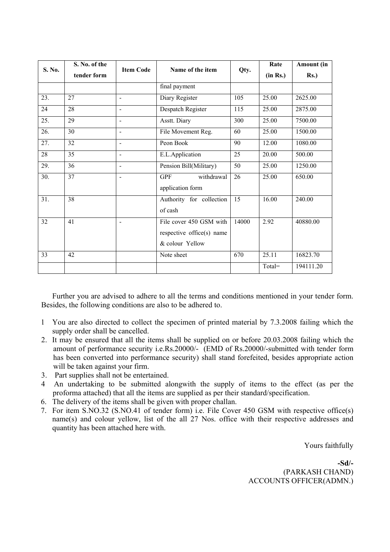| S. No. | S. No. of the |                          |                           |       | Rate     | Amount (in |
|--------|---------------|--------------------------|---------------------------|-------|----------|------------|
|        | tender form   | <b>Item Code</b>         | Name of the item          | Qty.  | (in Rs.) | $Rs.$ )    |
|        |               |                          | final payment             |       |          |            |
| 23.    | 27            | $\overline{\phantom{a}}$ | Diary Register            | 105   | 25.00    | 2625.00    |
| 24     | 28            | $\blacksquare$           | Despatch Register         | 115   | 25.00    | 2875.00    |
| 25.    | 29            | $\blacksquare$           | Asstt. Diary              | 300   | 25.00    | 7500.00    |
| 26.    | 30            | $\overline{\phantom{a}}$ | File Movement Reg.        | 60    | 25.00    | 1500.00    |
| 27.    | 32            | $\blacksquare$           | Peon Book                 | 90    | 12.00    | 1080.00    |
| 28     | 35            | $\blacksquare$           | E.L.Application           | 25    | 20.00    | 500.00     |
| 29.    | 36            | $\overline{\phantom{a}}$ | Pension Bill(Military)    | 50    | 25.00    | 1250.00    |
| 30.    | 37            | $\blacksquare$           | withdrawal<br><b>GPF</b>  | 26    | 25.00    | 650.00     |
|        |               |                          | application form          |       |          |            |
| 31.    | 38            |                          | Authority for collection  | 15    | 16.00    | 240.00     |
|        |               |                          | of cash                   |       |          |            |
| 32     | 41            |                          | File cover 450 GSM with   | 14000 | 2.92     | 40880.00   |
|        |               |                          | respective office(s) name |       |          |            |
|        |               |                          | & colour Yellow           |       |          |            |
| 33     | 42            |                          | Note sheet                | 670   | 25.11    | 16823.70   |
|        |               |                          |                           |       | Total=   | 194111.20  |

Further you are advised to adhere to all the terms and conditions mentioned in your tender form. Besides, the following conditions are also to be adhered to.

- 1 You are also directed to collect the specimen of printed material by 7.3.2008 failing which the supply order shall be cancelled.
- 2. It may be ensured that all the items shall be supplied on or before 20.03.2008 failing which the amount of performance security i.e.Rs.20000/- (EMD of Rs.20000/-submitted with tender form has been converted into performance security) shall stand forefeited, besides appropriate action will be taken against your firm.
- 3. Part supplies shall not be entertained.
- 4 An undertaking to be submitted alongwith the supply of items to the effect (as per the proforma attached) that all the items are supplied as per their standard/specification.
- 6. The delivery of the items shall be given with proper challan.
- 7. For item S.NO.32 (S.NO.41 of tender form) i.e. File Cover 450 GSM with respective office(s) name(s) and colour yellow, list of the all 27 Nos. office with their respective addresses and quantity has been attached here with.

Yours faithfully

**-Sd/-**  (PARKASH CHAND) ACCOUNTS OFFICER(ADMN.)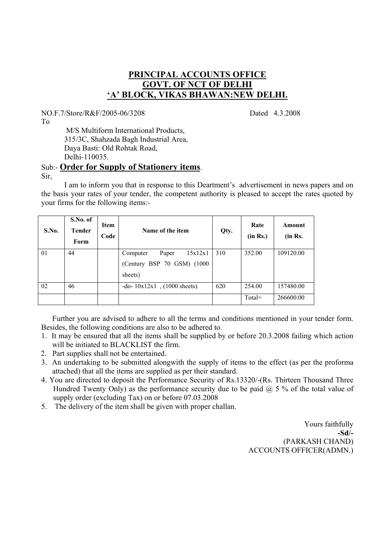## **PRINCIPAL ACCOUNTS OFFICE GOVT. OF NCT OF DELHI 'A' BLOCK, VIKAS BHAWAN:NEW DELHI.**

NO.F.7/Store/R&F/2005-06/3208 Dated 4.3.2008

To

 M/S Multiform International Products, 315/3C, Shahzada Bagh Industrial Area, Daya Basti: Old Rohtak Road, Delhi-110035.

#### Sub:- **Order for Supply of Stationery items**. Sir,

 I am to inform you that in response to this Deartment's advertisement in news papers and on the basis your rates of your tender, the competent authority is pleased to accept the rates quoted by your firms for the following items:-

| S.No. | S.No. of<br><b>Tender</b><br>Form | <b>Item</b><br>Code | Name of the item                  | Qty. | Rate<br>(in Rs.) | Amount<br>(in Rs. |
|-------|-----------------------------------|---------------------|-----------------------------------|------|------------------|-------------------|
| 01    | 44                                |                     | 15x12x1<br>Paper<br>Computer      | 310  | 352.00           | 109120.00         |
|       |                                   |                     | (Century BSP 70 GSM) (1000        |      |                  |                   |
|       |                                   |                     | sheets)                           |      |                  |                   |
| 02    | 46                                |                     | $-$ do- $10x12x1$ , (1000 sheets) | 620  | 254.00           | 157480.00         |
|       |                                   |                     |                                   |      | $Total=$         | 266600.00         |

Further you are advised to adhere to all the terms and conditions mentioned in your tender form. Besides, the following conditions are also to be adhered to.

- 1. It may be ensured that all the items shall be supplied by or before 20.3.2008 failing which action will be initiated to BLACKLIST the firm.
- 2. Part supplies shall not be entertained.
- 3. An undertaking to be submitted alongwith the supply of items to the effect (as per the proforma attached) that all the items are supplied as per their standard.
- 4. You are directed to deposit the Performance Security of Rs.13320/-(Rs. Thirteen Thousand Three Hundred Twenty Only) as the performance security due to be paid  $(a)$  5 % of the total value of supply order (excluding Tax) on or before 07.03.2008
- 5. The delivery of the item shall be given with proper challan.

Yours faithfully **-Sd/-** (PARKASH CHAND) ACCOUNTS OFFICER(ADMN.)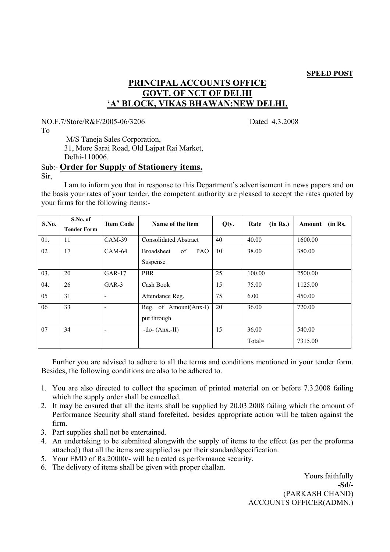#### **SPEED POST**

# **PRINCIPAL ACCOUNTS OFFICE GOVT. OF NCT OF DELHI 'A' BLOCK, VIKAS BHAWAN:NEW DELHI.**

NO.F.7/Store/R&F/2005-06/3206 Dated 4.3.2008

To

 M/S Taneja Sales Corporation, 31, More Sarai Road, Old Lajpat Rai Market, Delhi-110006.

#### Sub:- **Order for Supply of Stationery items.** Sir,

 I am to inform you that in response to this Department's advertisement in news papers and on the basis your rates of your tender, the competent authority are pleased to accept the rates quoted by your firms for the following items:-

| S.No. | S.No. of<br><b>Tender Form</b> | <b>Item Code</b>         | Name of the item                           | Qty. | (in Rs.)<br>Rate | (in Rs.<br>Amount |
|-------|--------------------------------|--------------------------|--------------------------------------------|------|------------------|-------------------|
| 01.   | 11                             | $CAM-39$                 | <b>Consolidated Abstract</b>               | 40   | 40.00            | 1600.00           |
| 02    | 17                             | $CAM-64$                 | <b>Broadsheet</b><br>of<br>PAO<br>Suspense | 10   | 38.00            | 380.00            |
| 03.   | 20                             | $GAR-17$                 | <b>PBR</b>                                 | 25   | 100.00           | 2500.00           |
| 04.   | 26                             | $GAR-3$                  | Cash Book                                  | 15   | 75.00            | 1125.00           |
| 05    | 31                             | $\overline{\phantom{a}}$ | Attendance Reg.                            | 75   | 6.00             | 450.00            |
| 06    | 33                             | ۰                        | Reg. of Amount(Anx-I)<br>put through       | 20   | 36.00            | 720.00            |
| 07    | 34                             | $\overline{\phantom{a}}$ | $-do-(Anx.-II)$                            | 15   | 36.00            | 540.00            |
|       |                                |                          |                                            |      | $Total =$        | 7315.00           |

Further you are advised to adhere to all the terms and conditions mentioned in your tender form. Besides, the following conditions are also to be adhered to.

- 1. You are also directed to collect the specimen of printed material on or before 7.3.2008 failing which the supply order shall be cancelled.
- 2. It may be ensured that all the items shall be supplied by 20.03.2008 failing which the amount of Performance Security shall stand forefeited, besides appropriate action will be taken against the firm.
- 3. Part supplies shall not be entertained.
- 4. An undertaking to be submitted alongwith the supply of items to the effect (as per the proforma attached) that all the items are supplied as per their standard/specification.
- 5. Your EMD of Rs.20000/- will be treated as performance security.
- 6. The delivery of items shall be given with proper challan.

Yours faithfully **-Sd/-** (PARKASH CHAND) ACCOUNTS OFFICER(ADMN.)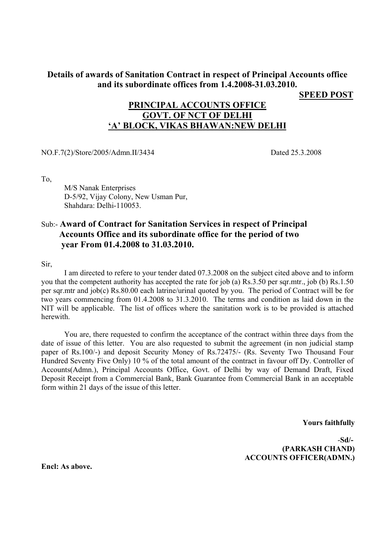### **Details of awards of Sanitation Contract in respect of Principal Accounts office and its subordinate offices from 1.4.2008-31.03.2010.**

**SPEED POST**

### **PRINCIPAL ACCOUNTS OFFICE GOVT. OF NCT OF DELHI 'A' BLOCK, VIKAS BHAWAN:NEW DELHI**

NO.F.7(2)/Store/2005/Admn.II/3434 Dated 25.3.2008

To,

 M/S Nanak Enterprises D-5/92, Vijay Colony, New Usman Pur, Shahdara: Delhi-110053.

### Sub:- **Award of Contract for Sanitation Services in respect of Principal Accounts Office and its subordinate office for the period of two year From 01.4.2008 to 31.03.2010.**

Sir,

 I am directed to refere to your tender dated 07.3.2008 on the subject cited above and to inform you that the competent authority has accepted the rate for job (a) Rs.3.50 per sqr.mtr., job (b) Rs.1.50 per sqr.mtr and job(c) Rs.80.00 each latrine/urinal quoted by you. The period of Contract will be for two years commencing from 01.4.2008 to 31.3.2010. The terms and condition as laid down in the NIT will be applicable. The list of offices where the sanitation work is to be provided is attached herewith.

 You are, there requested to confirm the acceptance of the contract within three days from the date of issue of this letter. You are also requested to submit the agreement (in non judicial stamp paper of Rs.100/-) and deposit Security Money of Rs.72475/- (Rs. Seventy Two Thousand Four Hundred Seventy Five Only) 10 % of the total amount of the contract in favour off Dy. Controller of Accounts(Admn.), Principal Accounts Office, Govt. of Delhi by way of Demand Draft, Fixed Deposit Receipt from a Commercial Bank, Bank Guarantee from Commercial Bank in an acceptable form within 21 days of the issue of this letter.

**Yours faithfully** 

-**Sd/- (PARKASH CHAND) ACCOUNTS OFFICER(ADMN.)** 

**Encl: As above.**